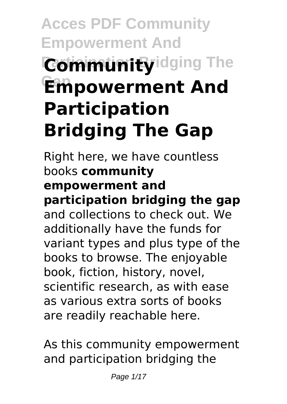# **Acces PDF Community Empowerment And Community** idging The **Gap Empowerment And Participation Bridging The Gap**

Right here, we have countless books **community empowerment and participation bridging the gap** and collections to check out. We additionally have the funds for variant types and plus type of the books to browse. The enjoyable book, fiction, history, novel, scientific research, as with ease as various extra sorts of books are readily reachable here.

As this community empowerment and participation bridging the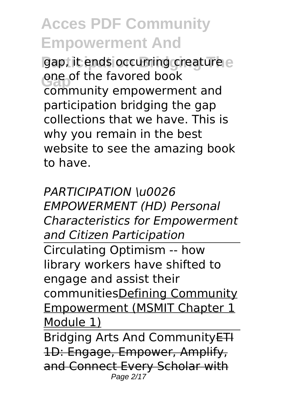gap, it ends occurring creature e **One of the favored book**<br>
community empowerment and one of the favored book participation bridging the gap collections that we have. This is why you remain in the best website to see the amazing book to have.

*PARTICIPATION \u0026 EMPOWERMENT (HD) Personal Characteristics for Empowerment and Citizen Participation* Circulating Optimism -- how library workers have shifted to engage and assist their communitiesDefining Community Empowerment (MSMIT Chapter 1 Module 1) Bridging Arts And CommunityETH

1D: Engage, Empower, Amplify, and Connect Every Scholar with Page 2/17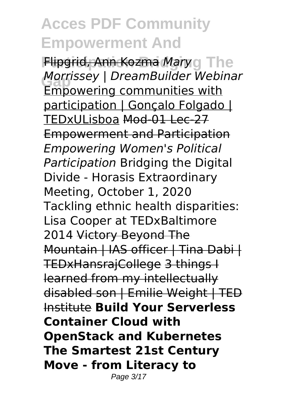**Flipgrid, Ann Kozma Mary g The Gap** *Morrissey | DreamBuilder Webinar* Empowering communities with participation | Gonçalo Folgado | TEDxULisboa Mod-01 Lec-27 Empowerment and Participation *Empowering Women's Political Participation* Bridging the Digital Divide - Horasis Extraordinary Meeting, October 1, 2020 Tackling ethnic health disparities: Lisa Cooper at TEDxBaltimore 2014 Victory Beyond The Mountain | IAS officer | Tina Dabi | TEDxHansrajCollege 3 things I learned from my intellectually disabled son | Emilie Weight | TED Institute **Build Your Serverless Container Cloud with OpenStack and Kubernetes The Smartest 21st Century Move - from Literacy to** Page 3/17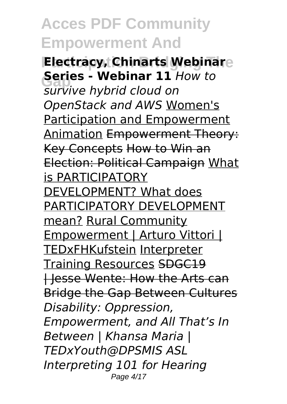**Electracy, Chinarts Webinare Series - webinar 11 html**<br> *survive hybrid cloud on* **Series - Webinar 11** *How to OpenStack and AWS* Women's Participation and Empowerment Animation Empowerment Theory: Key Concepts How to Win an Election: Political Campaign What is PARTICIPATORY DEVELOPMENT? What does PARTICIPATORY DEVELOPMENT mean? Rural Community Empowerment | Arturo Vittori | TEDxFHKufstein Interpreter Training Resources SDGC19 | Jesse Wente: How the Arts can Bridge the Gap Between Cultures *Disability: Oppression, Empowerment, and All That's In Between | Khansa Maria | TEDxYouth@DPSMIS ASL Interpreting 101 for Hearing* Page 4/17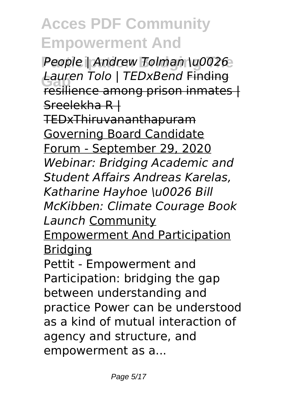People | Andrew Tolman \u0026 **Gap** *Lauren Tolo | TEDxBend* Finding resilience among prison inmates | Sreelekha R |

TEDxThiruvananthapuram Governing Board Candidate Forum - September 29, 2020 *Webinar: Bridging Academic and Student Affairs Andreas Karelas, Katharine Hayhoe \u0026 Bill McKibben: Climate Courage Book Launch* Community Empowerment And Participation

**Bridging** 

Pettit - Empowerment and Participation: bridging the gap between understanding and practice Power can be understood as a kind of mutual interaction of agency and structure, and empowerment as a...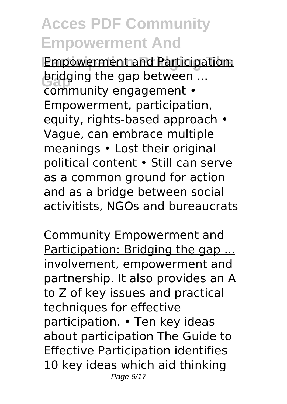**Empowerment and Participation: bridging the gap between ...**<br> **COMPUTEL COMPOSE** community engagement • Empowerment, participation, equity, rights-based approach • Vague, can embrace multiple meanings • Lost their original political content • Still can serve as a common ground for action and as a bridge between social activitists, NGOs and bureaucrats

Community Empowerment and Participation: Bridging the gap ... involvement, empowerment and partnership. It also provides an A to Z of key issues and practical techniques for effective participation. • Ten key ideas about participation The Guide to Effective Participation identifies 10 key ideas which aid thinking Page 6/17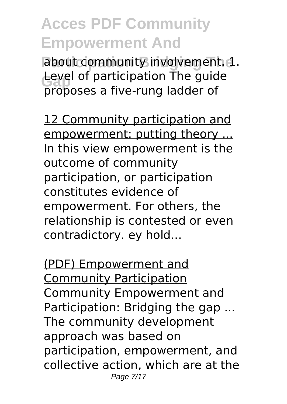about community involvement. 1. Level of participation The guide proposes a five-rung ladder of

12 Community participation and empowerment: putting theory ... In this view empowerment is the outcome of community participation, or participation constitutes evidence of empowerment. For others, the relationship is contested or even contradictory. ey hold...

(PDF) Empowerment and Community Participation Community Empowerment and Participation: Bridging the gap ... The community development approach was based on participation, empowerment, and collective action, which are at the Page 7/17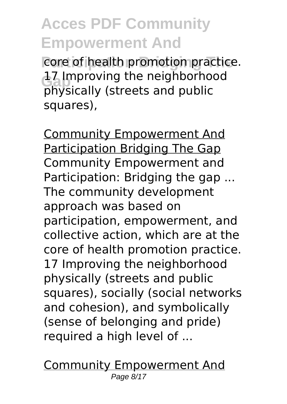core of health promotion practice. **L7** Improving the neighborhood physically (streets and public squares),

Community Empowerment And Participation Bridging The Gap Community Empowerment and Participation: Bridging the gap ... The community development approach was based on participation, empowerment, and collective action, which are at the core of health promotion practice. 17 Improving the neighborhood physically (streets and public squares), socially (social networks and cohesion), and symbolically (sense of belonging and pride) required a high level of ...

Community Empowerment And Page 8/17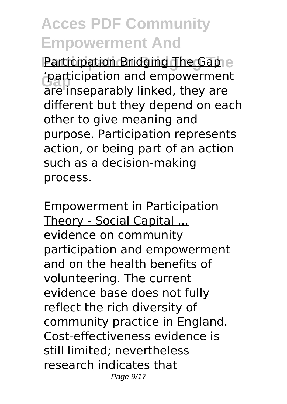**Participation Bridging The** Participation Bridging The Gap **'participation and empowerment**<br>
are inconomially linked, thoy are are inseparably linked, they are different but they depend on each other to give meaning and purpose. Participation represents action, or being part of an action such as a decision-making process.

Empowerment in Participation Theory - Social Capital ... evidence on community participation and empowerment and on the health benefits of volunteering. The current evidence base does not fully reflect the rich diversity of community practice in England. Cost-effectiveness evidence is still limited; nevertheless research indicates that Page 9/17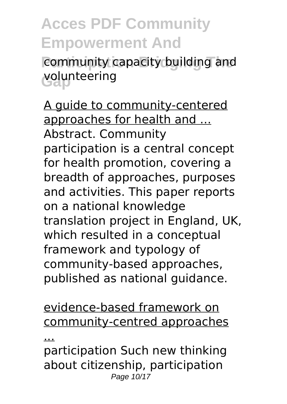**Acces PDF Community Empowerment And** community capacity building and **Gap** volunteering

A guide to community-centered approaches for health and ... Abstract. Community participation is a central concept for health promotion, covering a breadth of approaches, purposes and activities. This paper reports on a national knowledge translation project in England, UK, which resulted in a conceptual framework and typology of community-based approaches, published as national guidance.

evidence-based framework on community-centred approaches

...

participation Such new thinking about citizenship, participation Page 10/17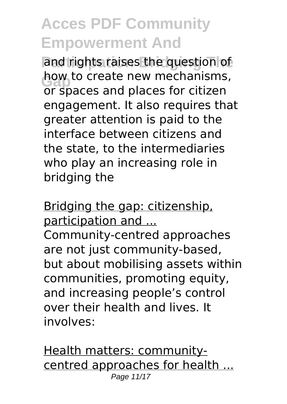and rights raises the question of now to create new mechanisms<br>or spaces and places for citizen how to create new mechanisms, engagement. It also requires that greater attention is paid to the interface between citizens and the state, to the intermediaries who play an increasing role in bridging the

Bridging the gap: citizenship, participation and ... Community-centred approaches are not just community-based, but about mobilising assets within communities, promoting equity, and increasing people's control over their health and lives. It involves:

Health matters: communitycentred approaches for health ... Page 11/17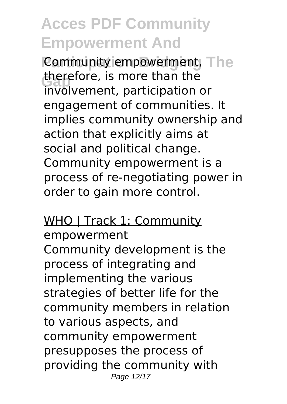**Community empowerment, The** therefore, is more than the involvement, participation or engagement of communities. It implies community ownership and action that explicitly aims at social and political change. Community empowerment is a process of re-negotiating power in order to gain more control.

#### WHO | Track 1: Community empowerment

Community development is the process of integrating and implementing the various strategies of better life for the community members in relation to various aspects, and community empowerment presupposes the process of providing the community with Page 12/17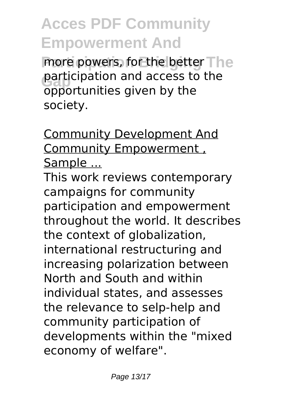more powers, for the better The participation and access to the opportunities given by the society.

Community Development And Community Empowerment , Sample ...

This work reviews contemporary campaigns for community participation and empowerment throughout the world. It describes the context of globalization, international restructuring and increasing polarization between North and South and within individual states, and assesses the relevance to selp-help and community participation of developments within the "mixed economy of welfare".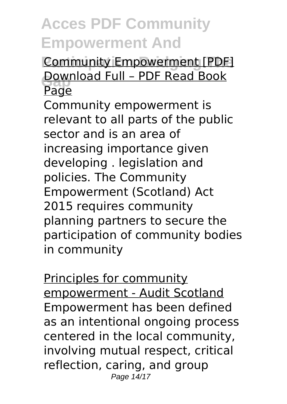#### **Community Empowerment [PDF] Download Full - PDF Read Book** Page

Community empowerment is relevant to all parts of the public sector and is an area of increasing importance given developing . legislation and policies. The Community Empowerment (Scotland) Act 2015 requires community planning partners to secure the participation of community bodies in community

Principles for community empowerment - Audit Scotland Empowerment has been defined as an intentional ongoing process centered in the local community, involving mutual respect, critical reflection, caring, and group Page 14/17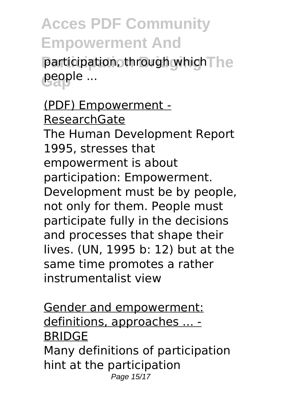**Acces PDF Community Empowerment And** participation, through which The **Gap** people ...

(PDF) Empowerment - ResearchGate The Human Development Report 1995, stresses that empowerment is about participation: Empowerment. Development must be by people, not only for them. People must participate fully in the decisions and processes that shape their lives. (UN, 1995 b: 12) but at the same time promotes a rather instrumentalist view

Gender and empowerment: definitions, approaches ... - BRIDGE Many definitions of participation hint at the participation Page 15/17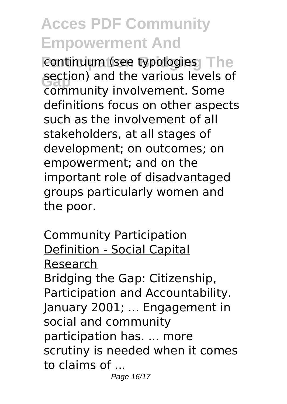continuum (see typologies<sub>)</sub> The section) and the various levels<br>community involvement. Some section) and the various levels of definitions focus on other aspects such as the involvement of all stakeholders, at all stages of development; on outcomes; on empowerment; and on the important role of disadvantaged groups particularly women and the poor.

Community Participation Definition - Social Capital Research Bridging the Gap: Citizenship, Participation and Accountability. January 2001; ... Engagement in social and community participation has. ... more scrutiny is needed when it comes to claims of ...

Page 16/17